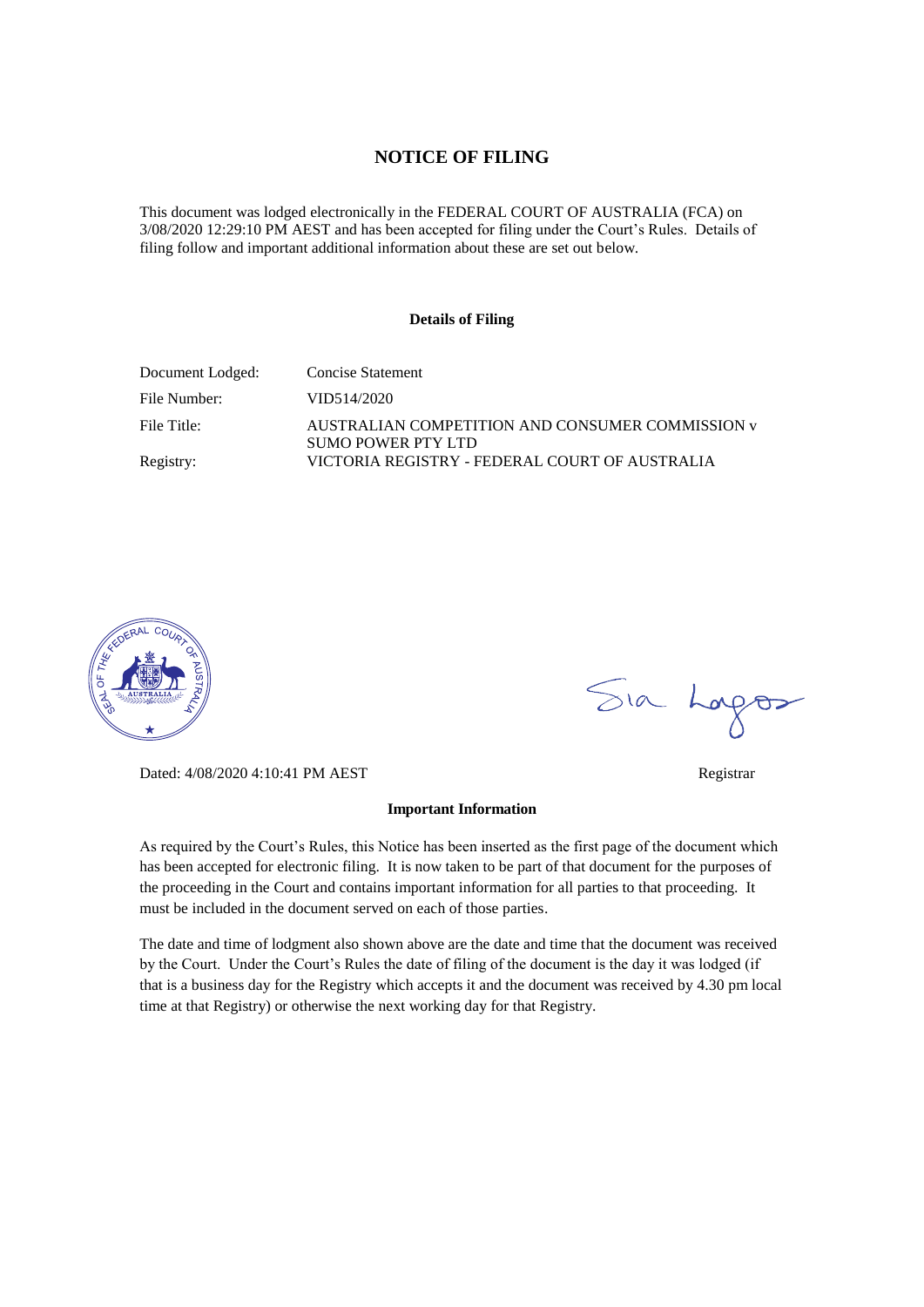#### **NOTICE OF FILING**

This document was lodged electronically in the FEDERAL COURT OF AUSTRALIA (FCA) on 3/08/2020 12:29:10 PM AEST and has been accepted for filing under the Court's Rules. Details of filing follow and important additional information about these are set out below.

#### **Details of Filing**

| Document Lodged: | Concise Statement                                                      |
|------------------|------------------------------------------------------------------------|
| File Number:     | VID514/2020                                                            |
| File Title:      | AUSTRALIAN COMPETITION AND CONSUMER COMMISSION v<br>SUMO POWER PTY LTD |
| Registry:        | VICTORIA REGISTRY - FEDERAL COURT OF AUSTRALIA                         |



Dated: 4/08/2020 4:10:41 PM AEST Registrar

#### **Important Information**

As required by the Court's Rules, this Notice has been inserted as the first page of the document which has been accepted for electronic filing. It is now taken to be part of that document for the purposes of the proceeding in the Court and contains important information for all parties to that proceeding. It must be included in the document served on each of those parties.

The date and time of lodgment also shown above are the date and time that the document was received by the Court. Under the Court's Rules the date of filing of the document is the day it was lodged (if that is a business day for the Registry which accepts it and the document was received by 4.30 pm local time at that Registry) or otherwise the next working day for that Registry.

Sia Logos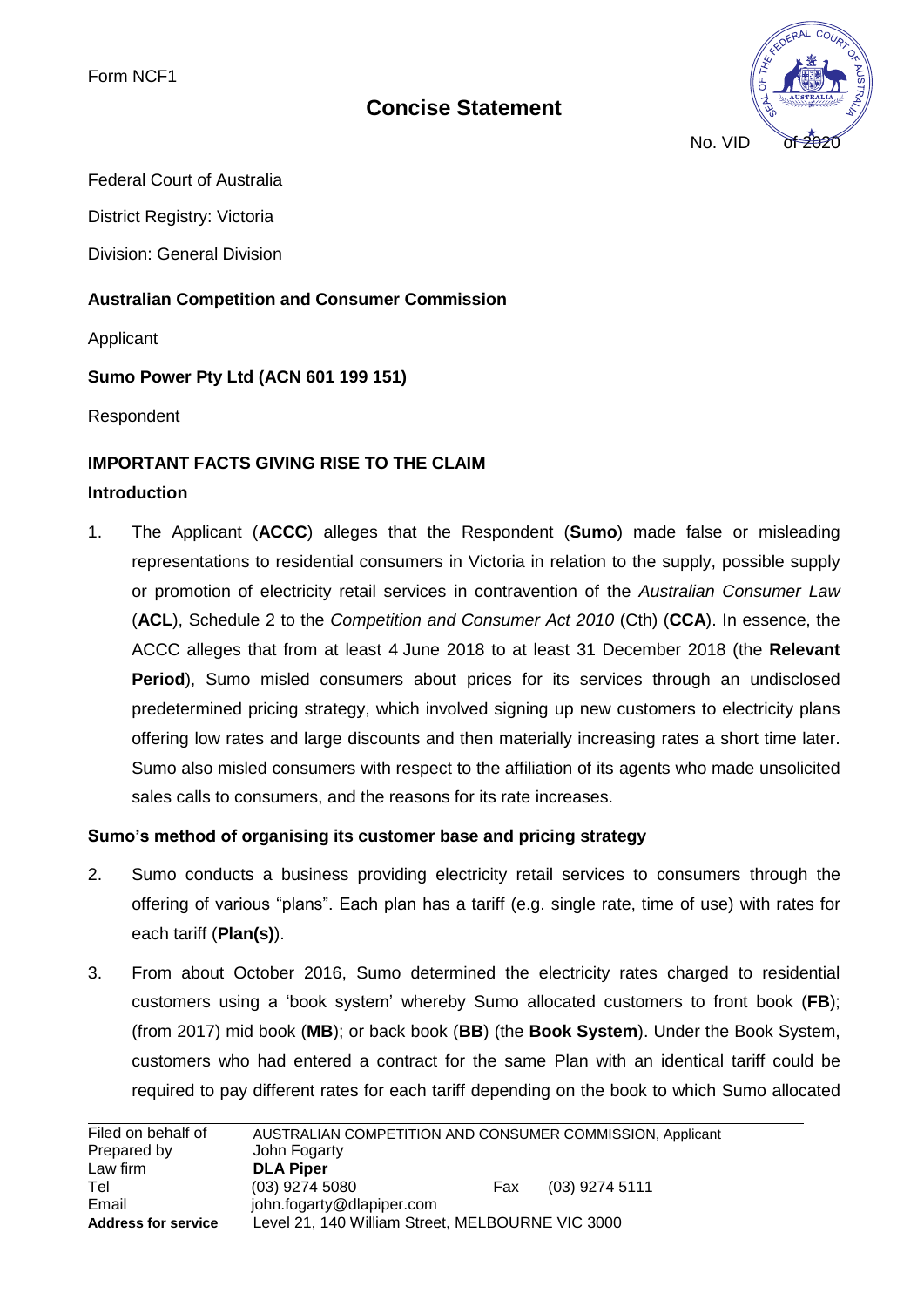# **Concise Statement**



Federal Court of Australia

District Registry: Victoria

Division: General Division

### **Australian Competition and Consumer Commission**

Applicant

### **Sumo Power Pty Ltd (ACN 601 199 151)**

Respondent

## **IMPORTANT FACTS GIVING RISE TO THE CLAIM**

### **Introduction**

1. The Applicant (**ACCC**) alleges that the Respondent (**Sumo**) made false or misleading representations to residential consumers in Victoria in relation to the supply, possible supply or promotion of electricity retail services in contravention of the *Australian Consumer Law* (**ACL**), Schedule 2 to the *Competition and Consumer Act 2010* (Cth) (**CCA**). In essence, the ACCC alleges that from at least 4 June 2018 to at least 31 December 2018 (the **Relevant Period**), Sumo misled consumers about prices for its services through an undisclosed predetermined pricing strategy, which involved signing up new customers to electricity plans offering low rates and large discounts and then materially increasing rates a short time later. Sumo also misled consumers with respect to the affiliation of its agents who made unsolicited sales calls to consumers, and the reasons for its rate increases.

## **Sumo's method of organising its customer base and pricing strategy**

- 2. Sumo conducts a business providing electricity retail services to consumers through the offering of various "plans". Each plan has a tariff (e.g. single rate, time of use) with rates for each tariff (**Plan(s)**).
- 3. From about October 2016, Sumo determined the electricity rates charged to residential customers using a 'book system' whereby Sumo allocated customers to front book (**FB**); (from 2017) mid book (**MB**); or back book (**BB**) (the **Book System**). Under the Book System, customers who had entered a contract for the same Plan with an identical tariff could be required to pay different rates for each tariff depending on the book to which Sumo allocated

| Filed on behalf of         | AUSTRALIAN COMPETITION AND CONSUMER COMMISSION, Applicant |     |                  |
|----------------------------|-----------------------------------------------------------|-----|------------------|
| Prepared by                | John Fogarty                                              |     |                  |
| Law firm                   | <b>DLA Piper</b>                                          |     |                  |
| Tel                        | $(03)$ 9274 5080                                          | Fax | $(03)$ 9274 5111 |
| Email                      | john.fogarty@dlapiper.com                                 |     |                  |
| <b>Address for service</b> | Level 21, 140 William Street, MELBOURNE VIC 3000          |     |                  |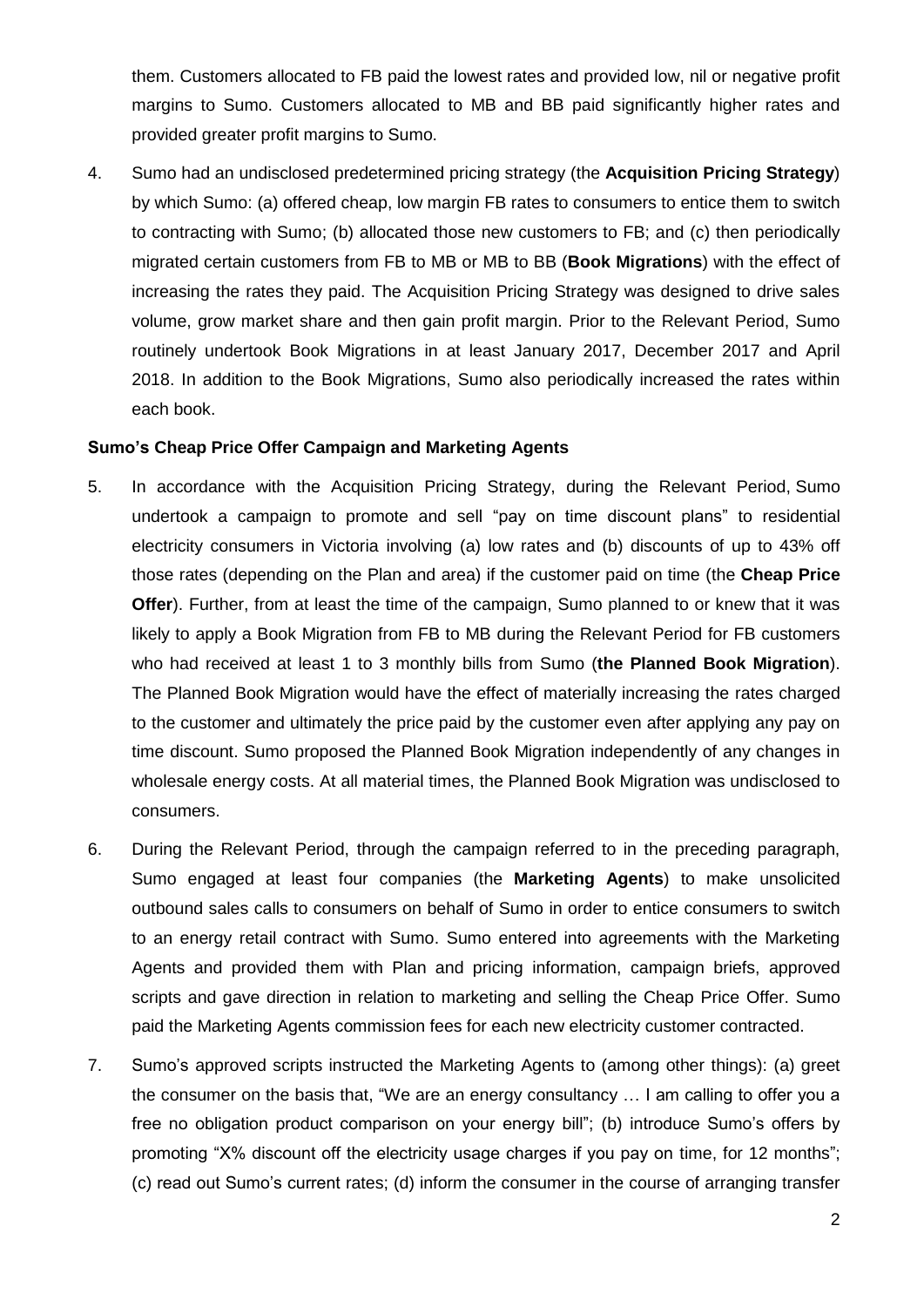them. Customers allocated to FB paid the lowest rates and provided low, nil or negative profit margins to Sumo. Customers allocated to MB and BB paid significantly higher rates and provided greater profit margins to Sumo.

4. Sumo had an undisclosed predetermined pricing strategy (the **Acquisition Pricing Strategy**) by which Sumo: (a) offered cheap, low margin FB rates to consumers to entice them to switch to contracting with Sumo; (b) allocated those new customers to FB; and (c) then periodically migrated certain customers from FB to MB or MB to BB (**Book Migrations**) with the effect of increasing the rates they paid. The Acquisition Pricing Strategy was designed to drive sales volume, grow market share and then gain profit margin. Prior to the Relevant Period, Sumo routinely undertook Book Migrations in at least January 2017, December 2017 and April 2018. In addition to the Book Migrations, Sumo also periodically increased the rates within each book.

#### **Sumo's Cheap Price Offer Campaign and Marketing Agents**

- 5. In accordance with the Acquisition Pricing Strategy, during the Relevant Period, Sumo undertook a campaign to promote and sell "pay on time discount plans" to residential electricity consumers in Victoria involving (a) low rates and (b) discounts of up to 43% off those rates (depending on the Plan and area) if the customer paid on time (the **Cheap Price Offer**). Further, from at least the time of the campaign, Sumo planned to or knew that it was likely to apply a Book Migration from FB to MB during the Relevant Period for FB customers who had received at least 1 to 3 monthly bills from Sumo (**the Planned Book Migration**). The Planned Book Migration would have the effect of materially increasing the rates charged to the customer and ultimately the price paid by the customer even after applying any pay on time discount. Sumo proposed the Planned Book Migration independently of any changes in wholesale energy costs. At all material times, the Planned Book Migration was undisclosed to consumers.
- 6. During the Relevant Period, through the campaign referred to in the preceding paragraph, Sumo engaged at least four companies (the **Marketing Agents**) to make unsolicited outbound sales calls to consumers on behalf of Sumo in order to entice consumers to switch to an energy retail contract with Sumo. Sumo entered into agreements with the Marketing Agents and provided them with Plan and pricing information, campaign briefs, approved scripts and gave direction in relation to marketing and selling the Cheap Price Offer. Sumo paid the Marketing Agents commission fees for each new electricity customer contracted.
- 7. Sumo's approved scripts instructed the Marketing Agents to (among other things): (a) greet the consumer on the basis that, "We are an energy consultancy … I am calling to offer you a free no obligation product comparison on your energy bill"; (b) introduce Sumo's offers by promoting "X% discount off the electricity usage charges if you pay on time, for 12 months"; (c) read out Sumo's current rates; (d) inform the consumer in the course of arranging transfer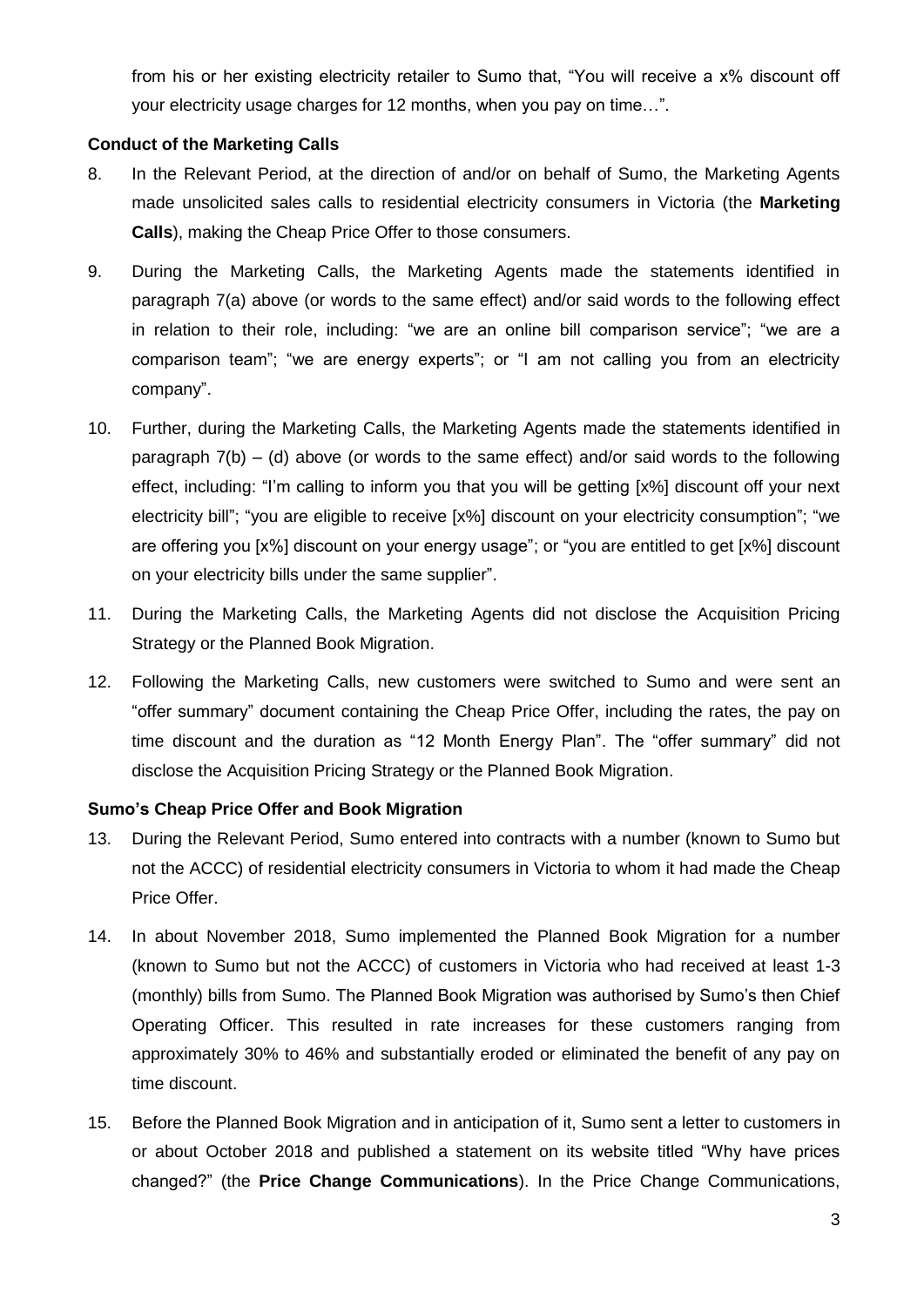from his or her existing electricity retailer to Sumo that, "You will receive a x% discount off your electricity usage charges for 12 months, when you pay on time…".

### **Conduct of the Marketing Calls**

- 8. In the Relevant Period, at the direction of and/or on behalf of Sumo, the Marketing Agents made unsolicited sales calls to residential electricity consumers in Victoria (the **Marketing Calls**), making the Cheap Price Offer to those consumers.
- 9. During the Marketing Calls, the Marketing Agents made the statements identified in paragraph 7(a) above (or words to the same effect) and/or said words to the following effect in relation to their role, including: "we are an online bill comparison service"; "we are a comparison team"; "we are energy experts"; or "I am not calling you from an electricity company".
- 10. Further, during the Marketing Calls, the Marketing Agents made the statements identified in paragraph 7(b) – (d) above (or words to the same effect) and/or said words to the following effect, including: "I'm calling to inform you that you will be getting [x%] discount off your next electricity bill"; "you are eligible to receive [x%] discount on your electricity consumption"; "we are offering you [x%] discount on your energy usage"; or "you are entitled to get [x%] discount on your electricity bills under the same supplier".
- 11. During the Marketing Calls, the Marketing Agents did not disclose the Acquisition Pricing Strategy or the Planned Book Migration.
- 12. Following the Marketing Calls, new customers were switched to Sumo and were sent an "offer summary" document containing the Cheap Price Offer, including the rates, the pay on time discount and the duration as "12 Month Energy Plan". The "offer summary" did not disclose the Acquisition Pricing Strategy or the Planned Book Migration.

## **Sumo's Cheap Price Offer and Book Migration**

- 13. During the Relevant Period, Sumo entered into contracts with a number (known to Sumo but not the ACCC) of residential electricity consumers in Victoria to whom it had made the Cheap Price Offer.
- 14. In about November 2018, Sumo implemented the Planned Book Migration for a number (known to Sumo but not the ACCC) of customers in Victoria who had received at least 1-3 (monthly) bills from Sumo. The Planned Book Migration was authorised by Sumo's then Chief Operating Officer. This resulted in rate increases for these customers ranging from approximately 30% to 46% and substantially eroded or eliminated the benefit of any pay on time discount.
- 15. Before the Planned Book Migration and in anticipation of it, Sumo sent a letter to customers in or about October 2018 and published a statement on its website titled "Why have prices changed?" (the **Price Change Communications**). In the Price Change Communications,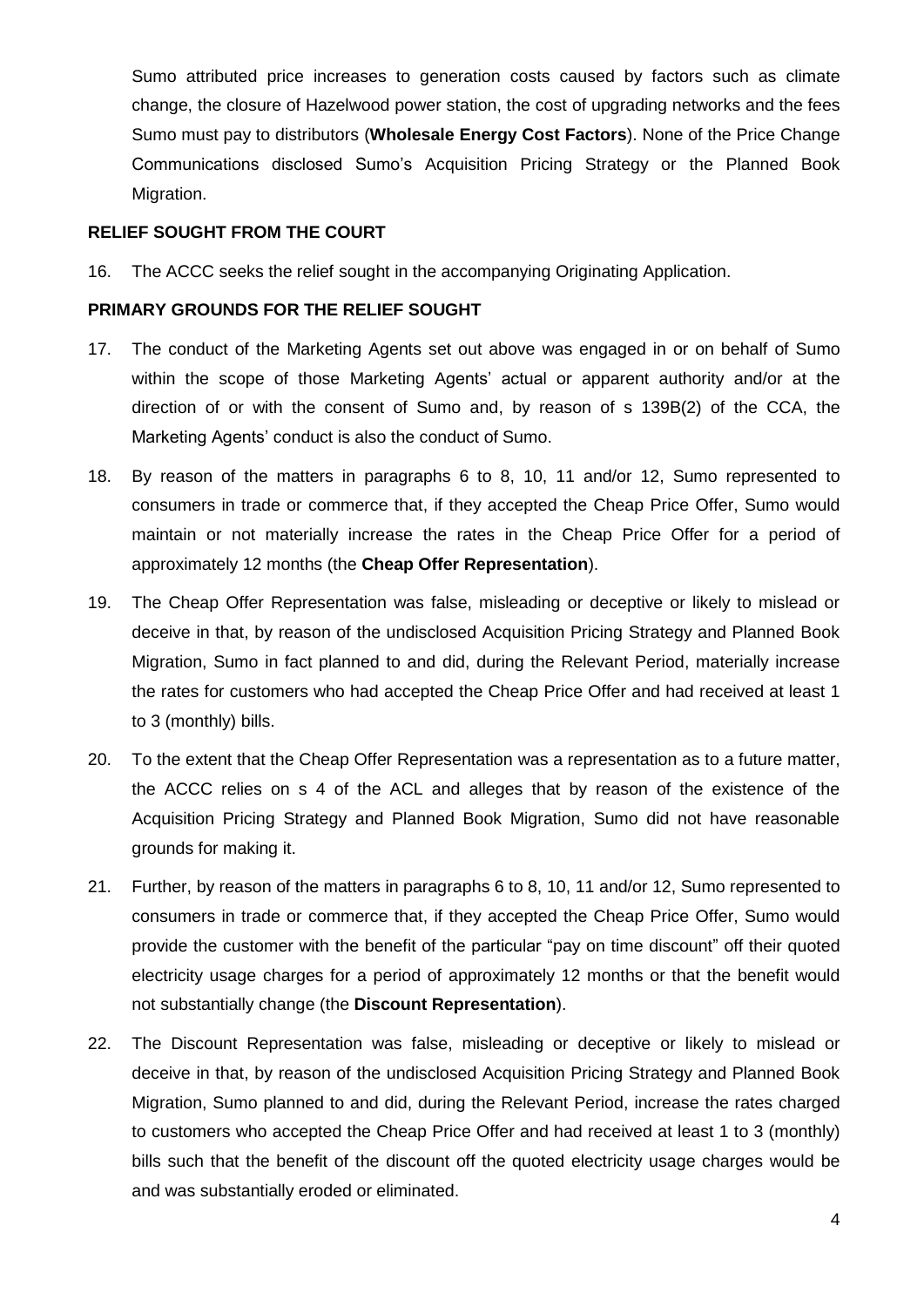Sumo attributed price increases to generation costs caused by factors such as climate change, the closure of Hazelwood power station, the cost of upgrading networks and the fees Sumo must pay to distributors (**Wholesale Energy Cost Factors**). None of the Price Change Communications disclosed Sumo's Acquisition Pricing Strategy or the Planned Book Migration.

#### **RELIEF SOUGHT FROM THE COURT**

16. The ACCC seeks the relief sought in the accompanying Originating Application.

#### **PRIMARY GROUNDS FOR THE RELIEF SOUGHT**

- 17. The conduct of the Marketing Agents set out above was engaged in or on behalf of Sumo within the scope of those Marketing Agents' actual or apparent authority and/or at the direction of or with the consent of Sumo and, by reason of s 139B(2) of the CCA, the Marketing Agents' conduct is also the conduct of Sumo.
- 18. By reason of the matters in paragraphs 6 to 8, 10, 11 and/or 12, Sumo represented to consumers in trade or commerce that, if they accepted the Cheap Price Offer, Sumo would maintain or not materially increase the rates in the Cheap Price Offer for a period of approximately 12 months (the **Cheap Offer Representation**).
- 19. The Cheap Offer Representation was false, misleading or deceptive or likely to mislead or deceive in that, by reason of the undisclosed Acquisition Pricing Strategy and Planned Book Migration, Sumo in fact planned to and did, during the Relevant Period, materially increase the rates for customers who had accepted the Cheap Price Offer and had received at least 1 to 3 (monthly) bills.
- 20. To the extent that the Cheap Offer Representation was a representation as to a future matter, the ACCC relies on s 4 of the ACL and alleges that by reason of the existence of the Acquisition Pricing Strategy and Planned Book Migration, Sumo did not have reasonable grounds for making it.
- 21. Further, by reason of the matters in paragraphs 6 to 8, 10, 11 and/or 12, Sumo represented to consumers in trade or commerce that, if they accepted the Cheap Price Offer, Sumo would provide the customer with the benefit of the particular "pay on time discount" off their quoted electricity usage charges for a period of approximately 12 months or that the benefit would not substantially change (the **Discount Representation**).
- 22. The Discount Representation was false, misleading or deceptive or likely to mislead or deceive in that, by reason of the undisclosed Acquisition Pricing Strategy and Planned Book Migration, Sumo planned to and did, during the Relevant Period, increase the rates charged to customers who accepted the Cheap Price Offer and had received at least 1 to 3 (monthly) bills such that the benefit of the discount off the quoted electricity usage charges would be and was substantially eroded or eliminated.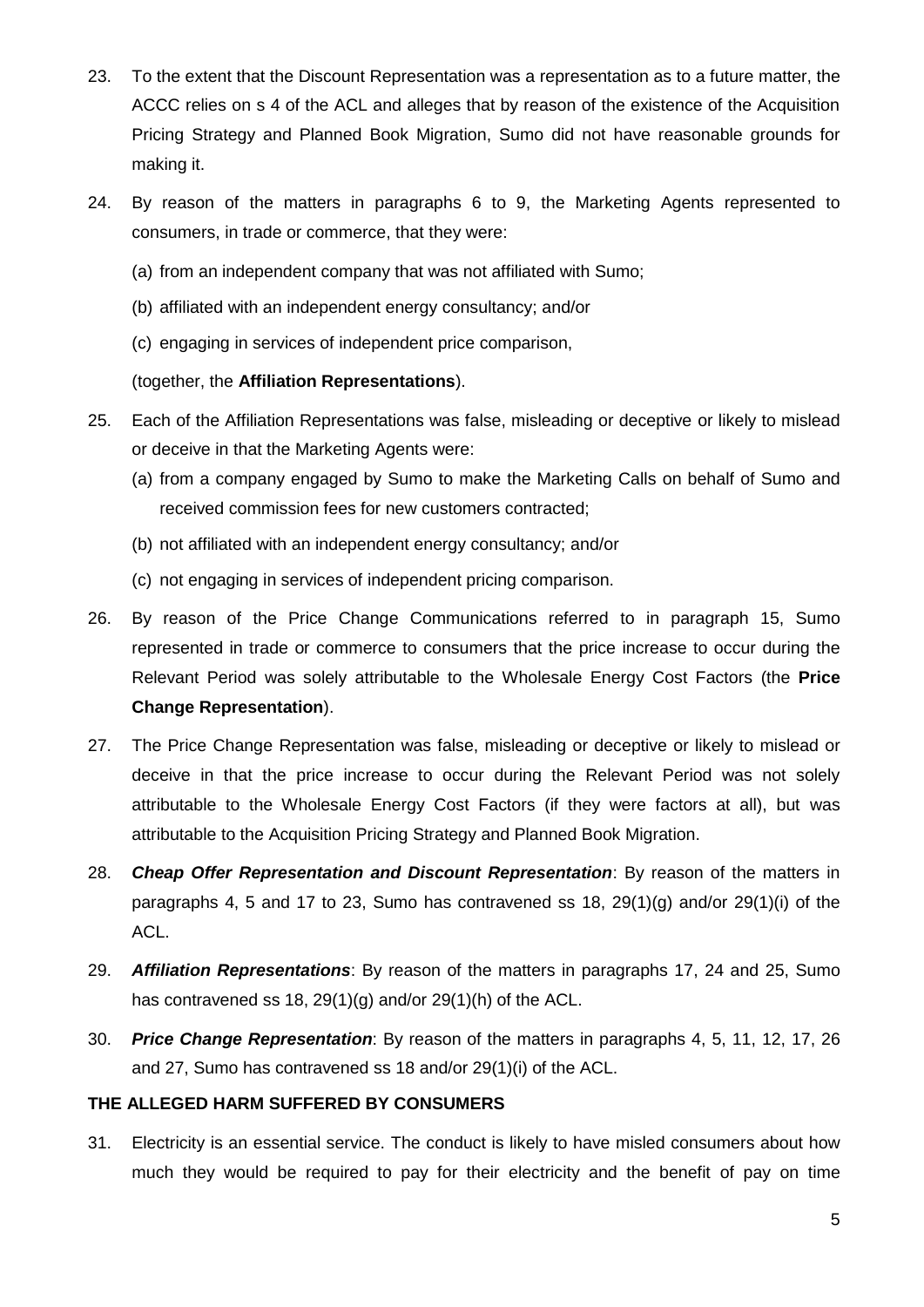- 23. To the extent that the Discount Representation was a representation as to a future matter, the ACCC relies on s 4 of the ACL and alleges that by reason of the existence of the Acquisition Pricing Strategy and Planned Book Migration, Sumo did not have reasonable grounds for making it.
- 24. By reason of the matters in paragraphs 6 to 9, the Marketing Agents represented to consumers, in trade or commerce, that they were:
	- (a) from an independent company that was not affiliated with Sumo;
	- (b) affiliated with an independent energy consultancy; and/or
	- (c) engaging in services of independent price comparison,

### (together, the **Affiliation Representations**).

- 25. Each of the Affiliation Representations was false, misleading or deceptive or likely to mislead or deceive in that the Marketing Agents were:
	- (a) from a company engaged by Sumo to make the Marketing Calls on behalf of Sumo and received commission fees for new customers contracted;
	- (b) not affiliated with an independent energy consultancy; and/or
	- (c) not engaging in services of independent pricing comparison.
- 26. By reason of the Price Change Communications referred to in paragraph 15, Sumo represented in trade or commerce to consumers that the price increase to occur during the Relevant Period was solely attributable to the Wholesale Energy Cost Factors (the **Price Change Representation**).
- 27. The Price Change Representation was false, misleading or deceptive or likely to mislead or deceive in that the price increase to occur during the Relevant Period was not solely attributable to the Wholesale Energy Cost Factors (if they were factors at all), but was attributable to the Acquisition Pricing Strategy and Planned Book Migration.
- 28. *Cheap Offer Representation and Discount Representation*: By reason of the matters in paragraphs 4, 5 and 17 to 23, Sumo has contravened ss 18, 29(1)(g) and/or 29(1)(i) of the ACL.
- 29. *Affiliation Representations*: By reason of the matters in paragraphs 17, 24 and 25, Sumo has contravened ss 18, 29(1)(g) and/or 29(1)(h) of the ACL.
- 30. *Price Change Representation*: By reason of the matters in paragraphs 4, 5, 11, 12, 17, 26 and 27, Sumo has contravened ss 18 and/or 29(1)(i) of the ACL.

### **THE ALLEGED HARM SUFFERED BY CONSUMERS**

31. Electricity is an essential service. The conduct is likely to have misled consumers about how much they would be required to pay for their electricity and the benefit of pay on time